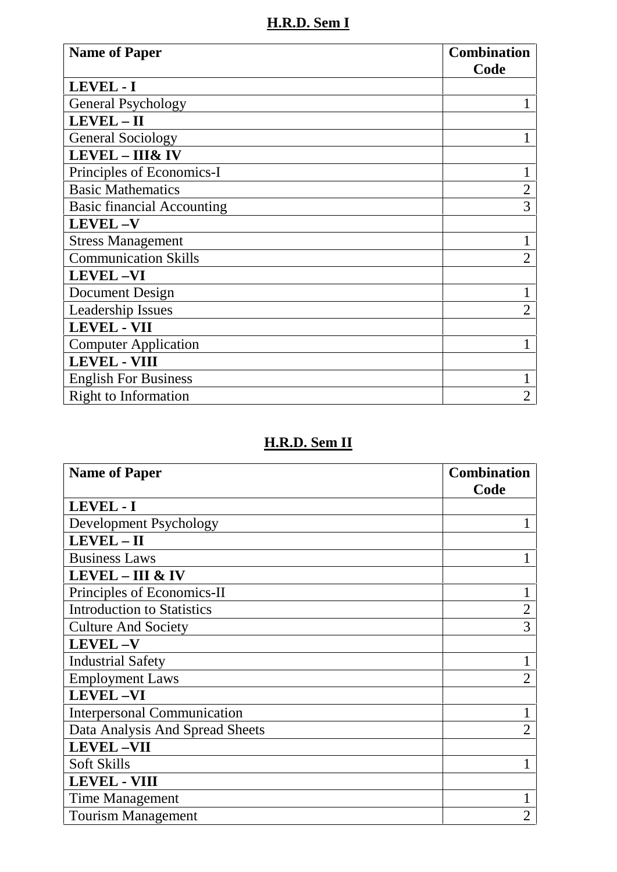**H.R.D. Sem I**

| <b>Name of Paper</b>              | <b>Combination</b><br>Code |
|-----------------------------------|----------------------------|
| <b>LEVEL - I</b>                  |                            |
| <b>General Psychology</b>         |                            |
| LEVEL - II                        |                            |
| <b>General Sociology</b>          |                            |
| <b>LEVEL - III&amp; IV</b>        |                            |
| Principles of Economics-I         |                            |
| <b>Basic Mathematics</b>          | $\overline{2}$             |
| <b>Basic financial Accounting</b> | 3                          |
| <b>LEVEL-V</b>                    |                            |
| <b>Stress Management</b>          |                            |
| <b>Communication Skills</b>       | 2                          |
| <b>LEVEL-VI</b>                   |                            |
| Document Design                   |                            |
| <b>Leadership Issues</b>          | 2                          |
| <b>LEVEL - VII</b>                |                            |
| <b>Computer Application</b>       |                            |
| <b>LEVEL - VIII</b>               |                            |
| <b>English For Business</b>       |                            |
| <b>Right to Information</b>       |                            |

# **H.R.D. Sem II**

| <b>Name of Paper</b>               | <b>Combination</b> |
|------------------------------------|--------------------|
|                                    | Code               |
| LEVEL - I                          |                    |
| Development Psychology             |                    |
| LEVEL - II                         |                    |
| <b>Business Laws</b>               |                    |
| <b>LEVEL - III &amp; IV</b>        |                    |
| Principles of Economics-II         |                    |
| <b>Introduction to Statistics</b>  | $\overline{2}$     |
| <b>Culture And Society</b>         | 3                  |
| <b>LEVEL-V</b>                     |                    |
| <b>Industrial Safety</b>           |                    |
| <b>Employment Laws</b>             | 2                  |
| <b>LEVEL-VI</b>                    |                    |
| <b>Interpersonal Communication</b> |                    |
| Data Analysis And Spread Sheets    | $\overline{2}$     |
| <b>LEVEL-VII</b>                   |                    |
| <b>Soft Skills</b>                 |                    |
| <b>LEVEL - VIII</b>                |                    |
| Time Management                    |                    |
| <b>Tourism Management</b>          | $\overline{2}$     |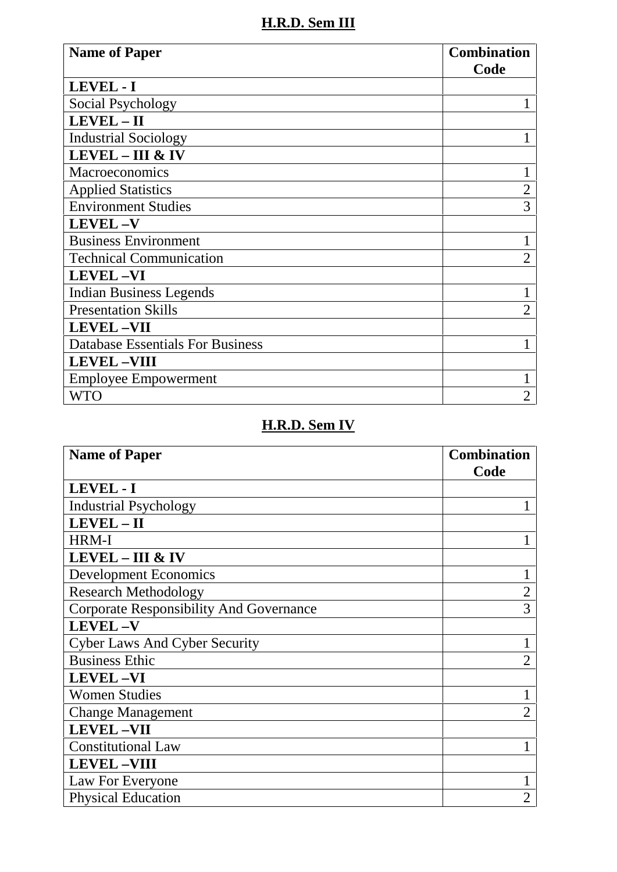### **H.R.D. Sem III**

| <b>Name of Paper</b>                    | <b>Combination</b><br>Code |
|-----------------------------------------|----------------------------|
| LEVEL - I                               |                            |
| Social Psychology                       |                            |
| LEVEL-II                                |                            |
| <b>Industrial Sociology</b>             |                            |
| <b>LEVEL - III &amp; IV</b>             |                            |
| Macroeconomics                          |                            |
| <b>Applied Statistics</b>               | 2                          |
| <b>Environment Studies</b>              | 3                          |
| <b>LEVEL-V</b>                          |                            |
| <b>Business Environment</b>             |                            |
| <b>Technical Communication</b>          |                            |
| <b>LEVEL-VI</b>                         |                            |
| <b>Indian Business Legends</b>          |                            |
| <b>Presentation Skills</b>              | $\overline{2}$             |
| <b>LEVEL-VII</b>                        |                            |
| <b>Database Essentials For Business</b> |                            |
| <b>LEVEL-VIII</b>                       |                            |
| <b>Employee Empowerment</b>             |                            |
| <b>WTO</b>                              | 2                          |

### **H.R.D. Sem IV**

| <b>Name of Paper</b>                           | <b>Combination</b><br>Code |
|------------------------------------------------|----------------------------|
| LEVEL - I                                      |                            |
| <b>Industrial Psychology</b>                   |                            |
| LEVEL - II                                     |                            |
| HRM-I                                          |                            |
| <b>LEVEL - III &amp; IV</b>                    |                            |
| <b>Development Economics</b>                   |                            |
| <b>Research Methodology</b>                    | $\overline{2}$             |
| <b>Corporate Responsibility And Governance</b> | 3                          |
| <b>LEVEL-V</b>                                 |                            |
| <b>Cyber Laws And Cyber Security</b>           |                            |
| <b>Business Ethic</b>                          | $\overline{2}$             |
| <b>LEVEL-VI</b>                                |                            |
| <b>Women Studies</b>                           |                            |
| <b>Change Management</b>                       | 2                          |
| <b>LEVEL-VII</b>                               |                            |
| <b>Constitutional Law</b>                      |                            |
| <b>LEVEL-VIII</b>                              |                            |
| Law For Everyone                               |                            |
| <b>Physical Education</b>                      | 2                          |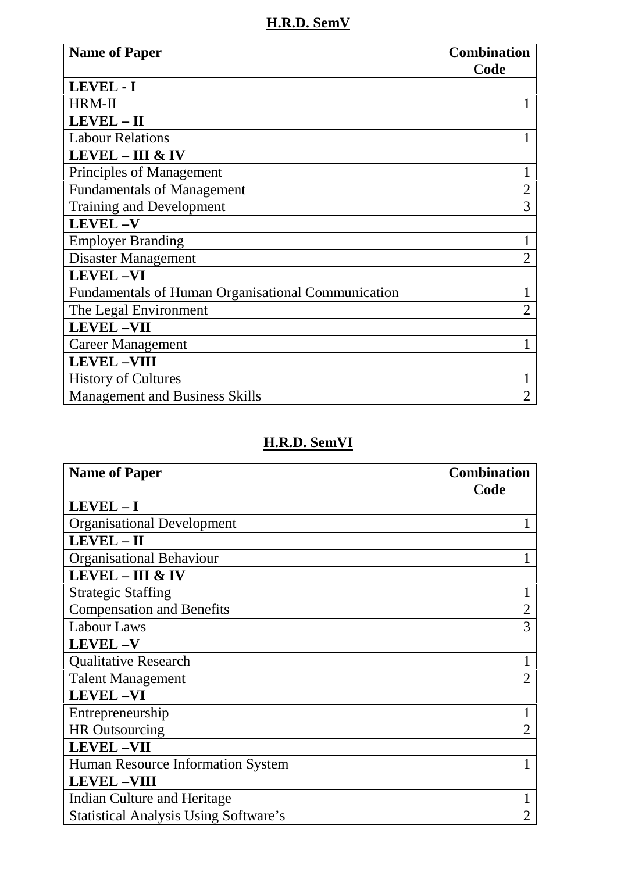**H.R.D. SemV**

| <b>Name of Paper</b>                                      | <b>Combination</b><br>Code |
|-----------------------------------------------------------|----------------------------|
| <b>LEVEL - I</b>                                          |                            |
| <b>HRM-II</b>                                             |                            |
| LEVEL - II                                                |                            |
| <b>Labour Relations</b>                                   |                            |
| $LEVEL - III & IV$                                        |                            |
| Principles of Management                                  |                            |
| <b>Fundamentals of Management</b>                         | $\overline{2}$             |
| <b>Training and Development</b>                           | 3                          |
| <b>LEVEL-V</b>                                            |                            |
| <b>Employer Branding</b>                                  |                            |
| Disaster Management                                       | $\overline{2}$             |
| <b>LEVEL-VI</b>                                           |                            |
| <b>Fundamentals of Human Organisational Communication</b> |                            |
| The Legal Environment                                     |                            |
| <b>LEVEL-VII</b>                                          |                            |
| <b>Career Management</b>                                  |                            |
| <b>LEVEL-VIII</b>                                         |                            |
| <b>History of Cultures</b>                                |                            |
| <b>Management and Business Skills</b>                     | $\overline{2}$             |

## **H.R.D. SemVI**

| <b>Name of Paper</b>                         | <b>Combination</b> |
|----------------------------------------------|--------------------|
|                                              | Code               |
| $LEVEL - I$                                  |                    |
| <b>Organisational Development</b>            |                    |
| LEVEL-II                                     |                    |
| <b>Organisational Behaviour</b>              |                    |
| <b>LEVEL - III &amp; IV</b>                  |                    |
| <b>Strategic Staffing</b>                    |                    |
| <b>Compensation and Benefits</b>             | $\overline{2}$     |
| Labour Laws                                  | 3                  |
| <b>LEVEL-V</b>                               |                    |
| <b>Qualitative Research</b>                  |                    |
| <b>Talent Management</b>                     | 2                  |
| <b>LEVEL-VI</b>                              |                    |
| Entrepreneurship                             |                    |
| <b>HR</b> Outsourcing                        | 2                  |
| <b>LEVEL-VII</b>                             |                    |
| Human Resource Information System            |                    |
| <b>LEVEL-VIII</b>                            |                    |
| Indian Culture and Heritage                  |                    |
| <b>Statistical Analysis Using Software's</b> | $\overline{2}$     |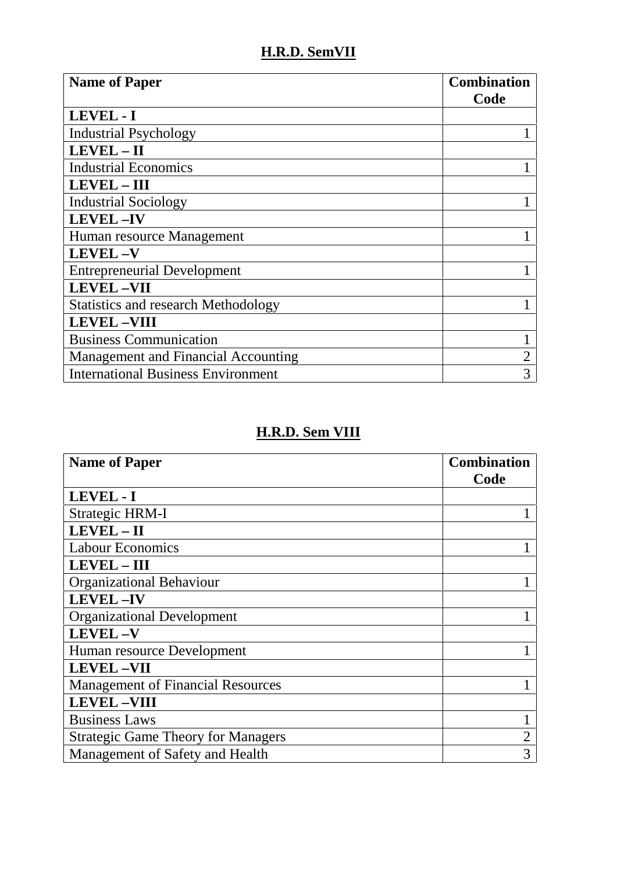#### **H.R.D. SemVII**

| <b>Name of Paper</b>                       | <b>Combination</b><br>Code |
|--------------------------------------------|----------------------------|
| <b>LEVEL - I</b>                           |                            |
| <b>Industrial Psychology</b>               |                            |
| LEVEL - II                                 |                            |
| <b>Industrial Economics</b>                |                            |
| <b>LEVEL - III</b>                         |                            |
| <b>Industrial Sociology</b>                |                            |
| <b>LEVEL-IV</b>                            |                            |
| Human resource Management                  |                            |
| <b>LEVEL-V</b>                             |                            |
| <b>Entrepreneurial Development</b>         |                            |
| <b>LEVEL-VII</b>                           |                            |
| <b>Statistics and research Methodology</b> |                            |
| <b>LEVEL-VIII</b>                          |                            |
| <b>Business Communication</b>              |                            |
| Management and Financial Accounting        |                            |
| <b>International Business Environment</b>  | 3                          |

### **H.R.D. Sem VIII**

| <b>Name of Paper</b>                      | <b>Combination</b><br>Code |
|-------------------------------------------|----------------------------|
| LEVEL - I                                 |                            |
| <b>Strategic HRM-I</b>                    |                            |
| $LEVEL - II$                              |                            |
| <b>Labour Economics</b>                   |                            |
| <b>LEVEL - III</b>                        |                            |
| <b>Organizational Behaviour</b>           |                            |
| <b>LEVEL-IV</b>                           |                            |
| <b>Organizational Development</b>         |                            |
| <b>LEVEL-V</b>                            |                            |
| Human resource Development                |                            |
| <b>LEVEL-VII</b>                          |                            |
| <b>Management of Financial Resources</b>  |                            |
| <b>LEVEL-VIII</b>                         |                            |
| <b>Business Laws</b>                      |                            |
| <b>Strategic Game Theory for Managers</b> |                            |
| Management of Safety and Health           | 3                          |